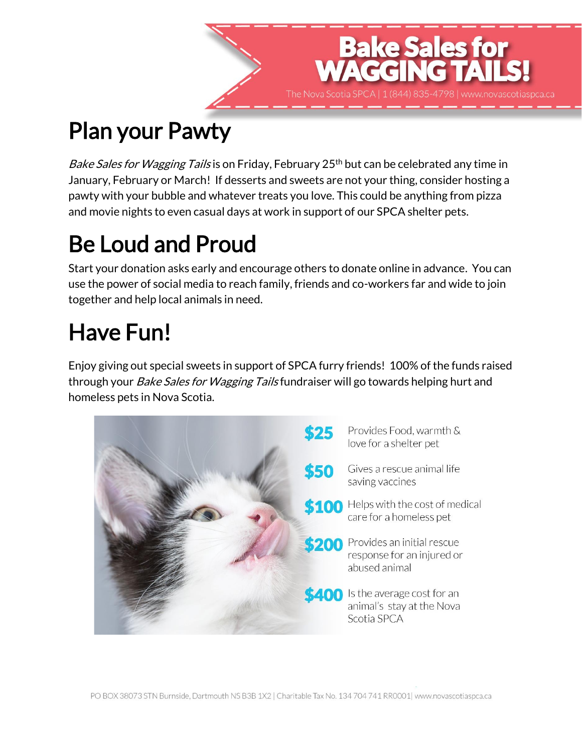## Plan your Pawty

*Bake Sales for Wagging Tails* is on Friday, February 25<sup>th</sup> but can be celebrated any time in January, February or March! If desserts and sweets are not your thing, consider hosting a pawty with your bubble and whatever treats you love. This could be anything from pizza and movie nights to even casual days at work in support of our SPCA shelter pets.

**Bake Sales for<br>AGGING TAIL** 

### Be Loud and Proud

Start your donation asks early and encourage others to donate online in advance. You can use the power of social media to reach family, friends and co-workers far and wide to join together and help local animals in need.

# Have Fun!

Enjoy giving out special sweets in support of SPCA furry friends! 100% of the funds raised through your *Bake Sales for Wagging Tails* fundraiser will go towards helping hurt and homeless pets in Nova Scotia.